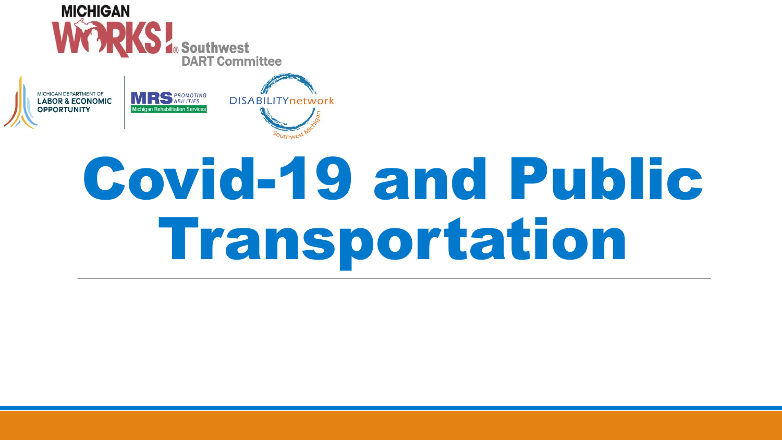





# Covid-19 and Public Transportation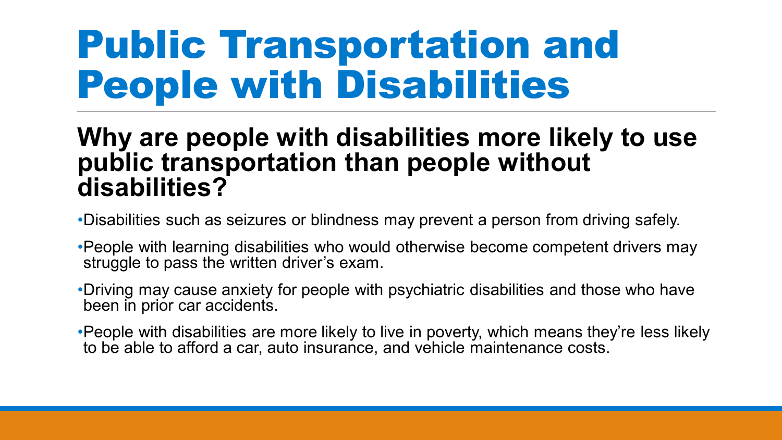### Public Transportation and People with Disabilities

#### **Why are people with disabilities more likely to use public transportation than people without disabilities?**

- •Disabilities such as seizures or blindness may prevent a person from driving safely.
- •People with learning disabilities who would otherwise become competent drivers may struggle to pass the written driver's exam.
- •Driving may cause anxiety for people with psychiatric disabilities and those who have been in prior car accidents.
- •People with disabilities are more likely to live in poverty, which means they're less likely to be able to afford a car, auto insurance, and vehicle maintenance costs.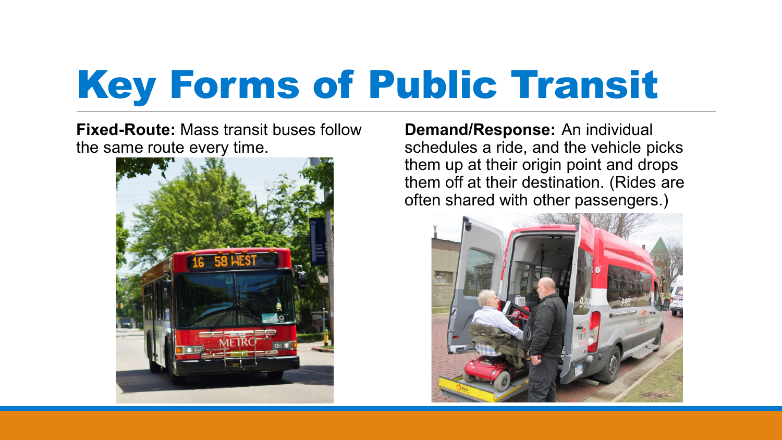# Key Forms of Public Transit

**Fixed-Route:** Mass transit buses follow the same route every time.



**Demand/Response:** An individual schedules a ride, and the vehicle picks them up at their origin point and drops them off at their destination. (Rides are often shared with other passengers.)

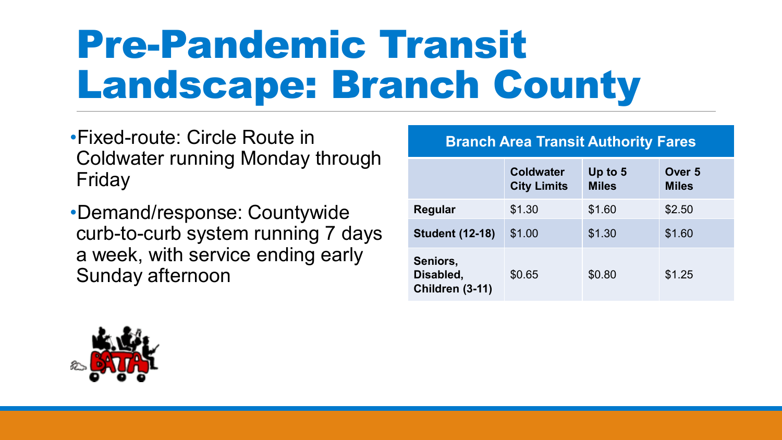# Pre-Pandemic Transit Landscape: Branch County

•Fixed-route: Circle Route in Coldwater running Monday through Friday

•Demand/response: Countywide curb-to-curb system running 7 days a week, with service ending early Sunday afternoon

#### **Branch Area Transit Authority Fares**

|                                          | <b>Coldwater</b><br><b>City Limits</b> | Up to 5<br><b>Miles</b> | Over <sub>5</sub><br><b>Miles</b> |
|------------------------------------------|----------------------------------------|-------------------------|-----------------------------------|
| Regular                                  | \$1.30                                 | \$1.60                  | \$2.50                            |
| <b>Student (12-18)</b>                   | \$1.00                                 | \$1.30                  | \$1.60                            |
| Seniors,<br>Disabled,<br>Children (3-11) | \$0.65                                 | \$0.80                  | \$1.25                            |

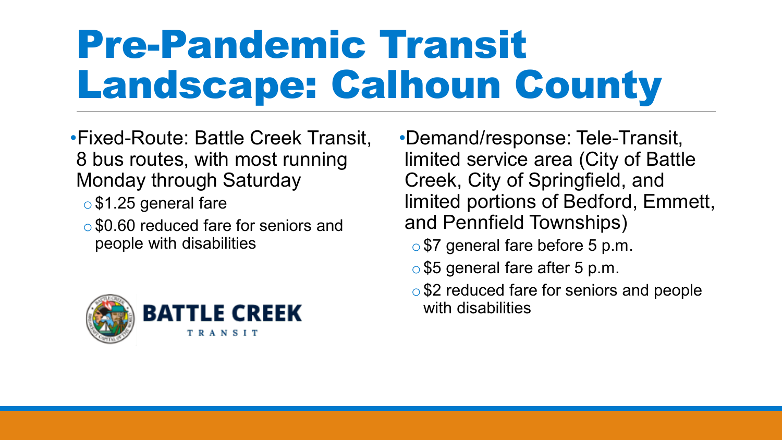# Pre-Pandemic Transit Landscape: Calhoun County

•Fixed-Route: Battle Creek Transit, 8 bus routes, with most running Monday through Saturday

- o \$1.25 general fare
- \$0.60 reduced fare for seniors and people with disabilities



•Demand/response: Tele-Transit, limited service area (City of Battle Creek, City of Springfield, and limited portions of Bedford, Emmett, and Pennfield Townships)

- o\$7 general fare before 5 p.m.
- o\$5 general fare after 5 p.m.
- \$2 reduced fare for seniors and people with disabilities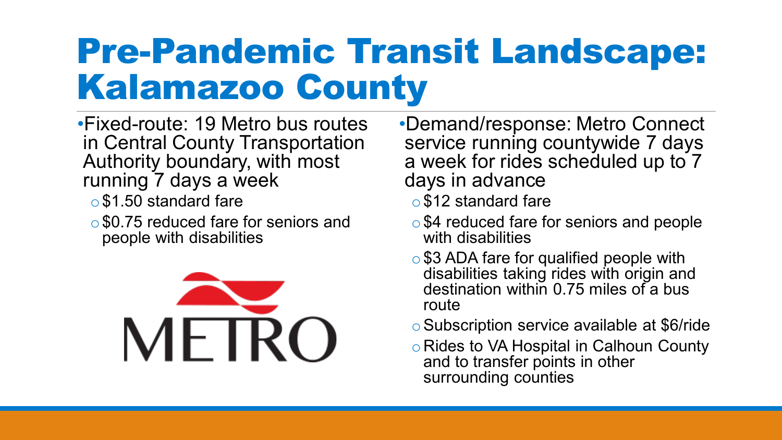#### Pre-Pandemic Transit Landscape: Kalamazoo County

- •Fixed-route: 19 Metro bus routes in Central County Transportation Authority boundary, with most running 7 days a week
	- o \$1.50 standard fare
	- \$0.75 reduced fare for seniors and people with disabilities



- •Demand/response: Metro Connect service running countywide 7 days a week for rides scheduled up to 7 days in advance
	- o\$12 standard fare
	- \$4 reduced fare for seniors and people with disabilities
	- \$3 ADA fare for qualified people with disabilities taking rides with origin and destination within 0.75 miles of a bus route
	- oSubscription service available at \$6/ride
	- o Rides to VA Hospital in Calhoun County and to transfer points in other surrounding counties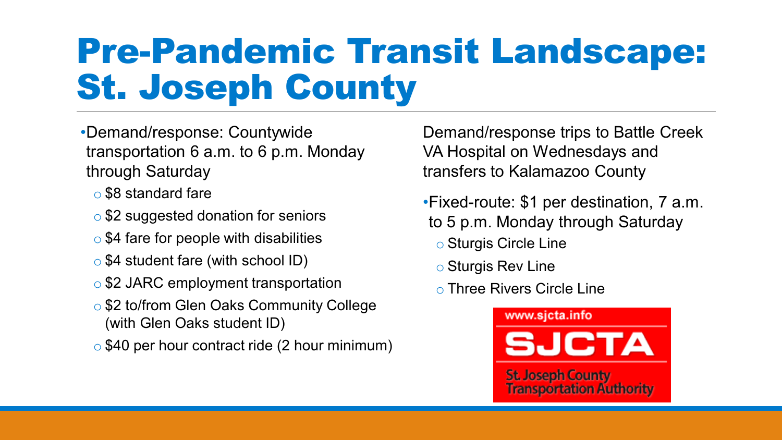#### Pre-Pandemic Transit Landscape: St. Joseph County

- •Demand/response: Countywide transportation 6 a.m. to 6 p.m. Monday through Saturday
	- o \$8 standard fare
	- o \$2 suggested donation for seniors
	- $\circ$  \$4 fare for people with disabilities
	- $\circ$  \$4 student fare (with school ID)
	- \$2 JARC employment transportation
	- o \$2 to/from Glen Oaks Community College (with Glen Oaks student ID)
	- o \$40 per hour contract ride (2 hour minimum)

Demand/response trips to Battle Creek VA Hospital on Wednesdays and transfers to Kalamazoo County

- •Fixed-route: \$1 per destination, 7 a.m. to 5 p.m. Monday through Saturday
	- o Sturgis Circle Line
	- o Sturgis Rev Line
	- o Three Rivers Circle Line

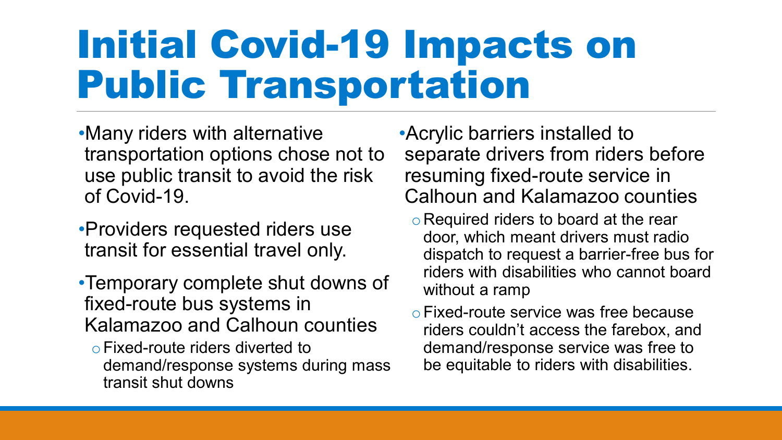### Initial Covid-19 Impacts on Public Transportation

•Many riders with alternative transportation options chose not to use public transit to avoid the risk of Covid-19.

- •Providers requested riders use transit for essential travel only.
- •Temporary complete shut downs of fixed-route bus systems in Kalamazoo and Calhoun counties
	- oFixed-route riders diverted to demand/response systems during mass transit shut downs

•Acrylic barriers installed to separate drivers from riders before resuming fixed-route service in Calhoun and Kalamazoo counties

- o Required riders to board at the rear door, which meant drivers must radio dispatch to request a barrier-free bus for riders with disabilities who cannot board without a ramp
- oFixed-route service was free because riders couldn't access the farebox, and demand/response service was free to be equitable to riders with disabilities.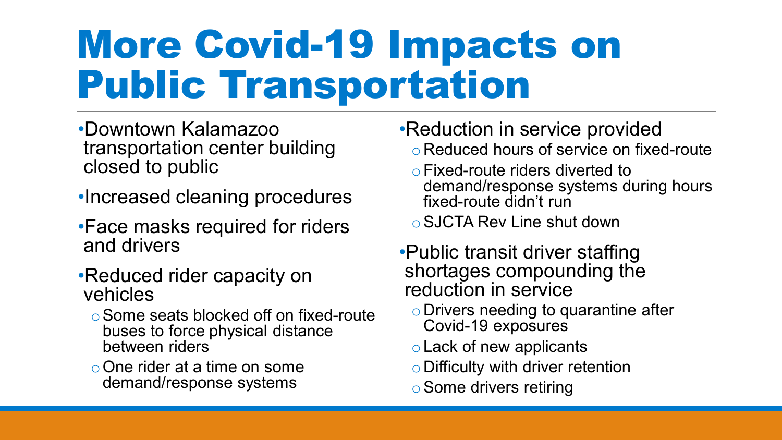# More Covid-19 Impacts on Public Transportation

- •Downtown Kalamazoo transportation center building closed to public
- •Increased cleaning procedures
- •Face masks required for riders and drivers
- •Reduced rider capacity on vehicles
	- oSome seats blocked off on fixed-route buses to force physical distance between riders
	- oOne rider at a time on some demand/response systems
- •Reduction in service provided
	- oReduced hours of service on fixed-route
	- oFixed-route riders diverted to demand/response systems during hours fixed-route didn't run
	- oSJCTA Rev Line shut down
- •Public transit driver staffing shortages compounding the reduction in service
	- oDrivers needing to quarantine after Covid-19 exposures
	- oLack of new applicants
	- $\circ$  Difficulty with driver retention
	- oSome drivers retiring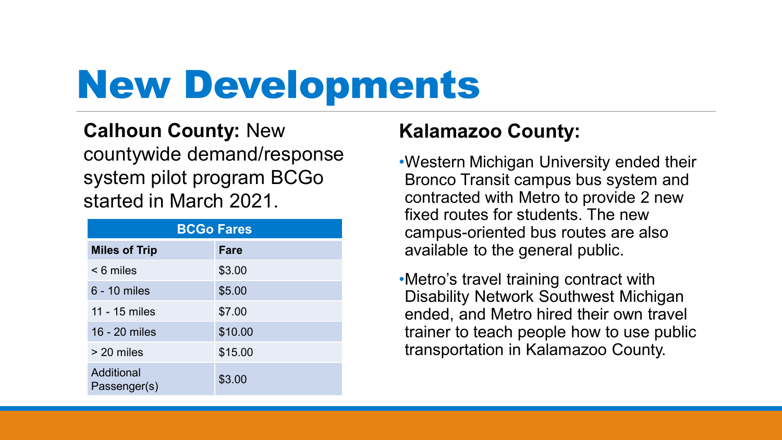# New Developments

#### **Calhoun County:** New countywide demand/response system pilot program BCGo started in March 2021.

| <b>BCGo Fares</b>          |             |  |  |
|----------------------------|-------------|--|--|
| <b>Miles of Trip</b>       | <b>Fare</b> |  |  |
| $< 6$ miles                | \$3.00      |  |  |
| 6 - 10 miles               | \$5.00      |  |  |
| 11 - 15 miles              | \$7.00      |  |  |
| 16 - 20 miles              | \$10.00     |  |  |
| > 20 miles                 | \$15.00     |  |  |
| Additional<br>Passenger(s) | \$3.00      |  |  |

#### **Kalamazoo County:**

•Western Michigan University ended their Bronco Transit campus bus system and contracted with Metro to provide 2 new fixed routes for students. The new campus-oriented bus routes are also available to the general public.

•Metro's travel training contract with Disability Network Southwest Michigan ended, and Metro hired their own travel trainer to teach people how to use public transportation in Kalamazoo County.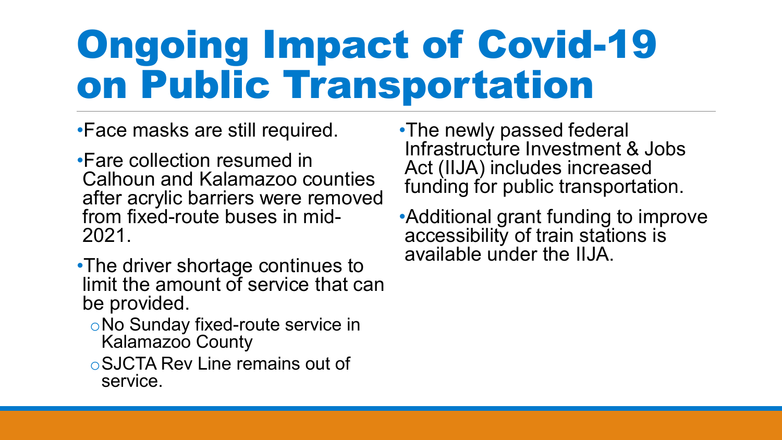# Ongoing Impact of Covid-19 on Public Transportation

•Face masks are still required.

- •Fare collection resumed in Calhoun and Kalamazoo counties after acrylic barriers were removed from fixed-route buses in mid- 2021.
- •The driver shortage continues to limit the amount of service that can be provided.
	- oNo Sunday fixed-route service in Kalamazoo County
	- oSJCTA Rev Line remains out of service.
- •The newly passed federal Infrastructure Investment & Jobs Act (IIJA) includes increased funding for public transportation.
- •Additional grant funding to improve accessibility of train stations is available under the IIJA.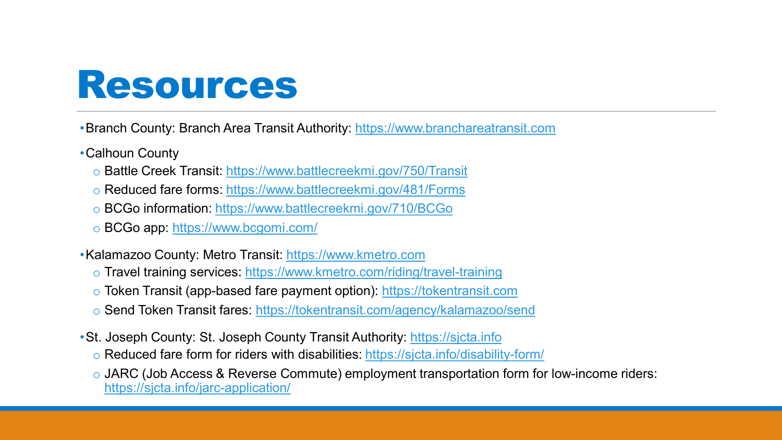#### Resources

- •Branch County: Branch Area Transit Authority: [https://www.branchareatransit.com](https://www.branchareatransit.com/)
- •Calhoun County
	- o Battle Creek Transit:<https://www.battlecreekmi.gov/750/Transit>
	- o Reduced fare forms:<https://www.battlecreekmi.gov/481/Forms>
	- o BCGo information:<https://www.battlecreekmi.gov/710/BCGo>
	- o BCGo app: <https://www.bcgomi.com/>
- •Kalamazoo County: Metro Transit: [https://www.kmetro.com](https://www.kmetro.com/)
	- o Travel training services:<https://www.kmetro.com/riding/travel-training>
	- o Token Transit (app-based fare payment option): [https://tokentransit.com](https://tokentransit.com/)
	- o Send Token Transit fares:<https://tokentransit.com/agency/kalamazoo/send>
- •St. Joseph County: St. Joseph County Transit Authority: [https://sjcta.info](https://sjcta.info/)
	- o Reduced fare form for riders with disabilities:<https://sjcta.info/disability-form/>
	- o JARC (Job Access & Reverse Commute) employment transportation form for low-income riders: <https://sjcta.info/jarc-application/>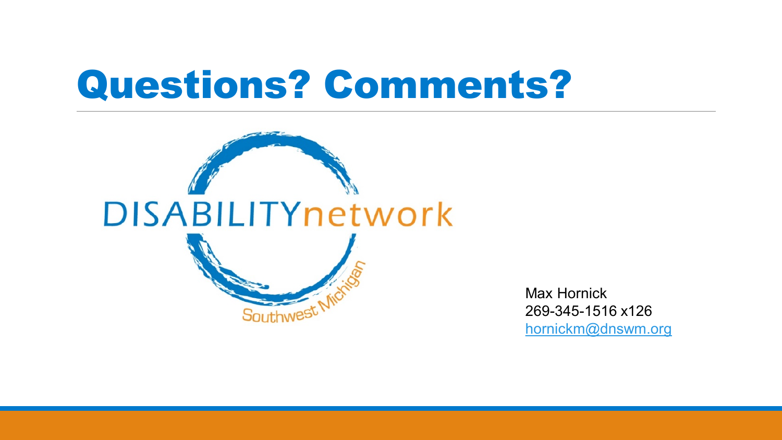#### Questions? Comments?



269-345-1516 x126 Max Hornick [hornickm@dnswm.org](mailto:hornickm@dnswm.org)